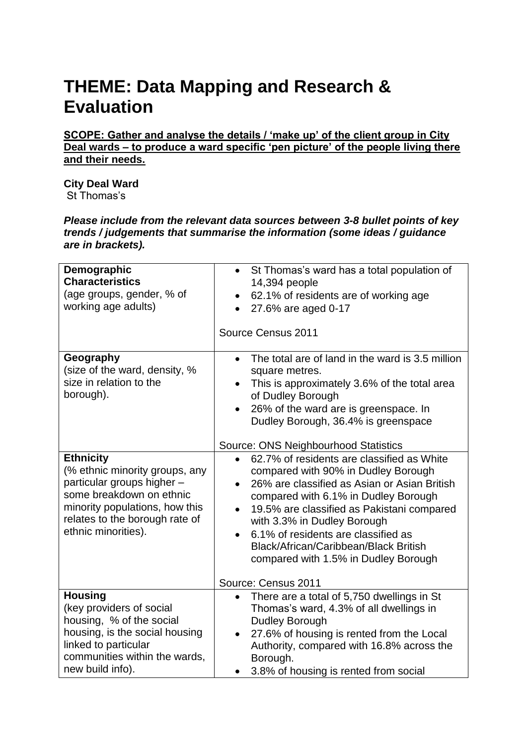## **THEME: Data Mapping and Research & Evaluation**

**SCOPE: Gather and analyse the details / 'make up' of the client group in City Deal wards – to produce a ward specific 'pen picture' of the people living there and their needs.** 

**City Deal Ward** St Thomas's

*Please include from the relevant data sources between 3-8 bullet points of key trends / judgements that summarise the information (some ideas / guidance are in brackets).*

| Demographic<br><b>Characteristics</b><br>(age groups, gender, % of<br>working age adults)                                                                                                               | St Thomas's ward has a total population of<br>$\bullet$<br>14,394 people<br>62.1% of residents are of working age<br>$\bullet$<br>27.6% are aged 0-17<br>$\bullet$<br>Source Census 2011                                                                                                                                                                                                                                        |
|---------------------------------------------------------------------------------------------------------------------------------------------------------------------------------------------------------|---------------------------------------------------------------------------------------------------------------------------------------------------------------------------------------------------------------------------------------------------------------------------------------------------------------------------------------------------------------------------------------------------------------------------------|
| Geography<br>(size of the ward, density, %<br>size in relation to the<br>borough).                                                                                                                      | The total are of land in the ward is 3.5 million<br>$\bullet$<br>square metres.<br>This is approximately 3.6% of the total area<br>of Dudley Borough<br>26% of the ward are is greenspace. In<br>$\bullet$<br>Dudley Borough, 36.4% is greenspace<br>Source: ONS Neighbourhood Statistics                                                                                                                                       |
| <b>Ethnicity</b><br>(% ethnic minority groups, any<br>particular groups higher -<br>some breakdown on ethnic<br>minority populations, how this<br>relates to the borough rate of<br>ethnic minorities). | 62.7% of residents are classified as White<br>$\bullet$<br>compared with 90% in Dudley Borough<br>26% are classified as Asian or Asian British<br>compared with 6.1% in Dudley Borough<br>19.5% are classified as Pakistani compared<br>$\bullet$<br>with 3.3% in Dudley Borough<br>6.1% of residents are classified as<br>Black/African/Caribbean/Black British<br>compared with 1.5% in Dudley Borough<br>Source: Census 2011 |
| <b>Housing</b><br>(key providers of social<br>housing, % of the social<br>housing, is the social housing<br>linked to particular<br>communities within the wards,<br>new build info).                   | There are a total of 5,750 dwellings in St<br>$\bullet$<br>Thomas's ward, 4.3% of all dwellings in<br>Dudley Borough<br>27.6% of housing is rented from the Local<br>$\bullet$<br>Authority, compared with 16.8% across the<br>Borough.<br>3.8% of housing is rented from social                                                                                                                                                |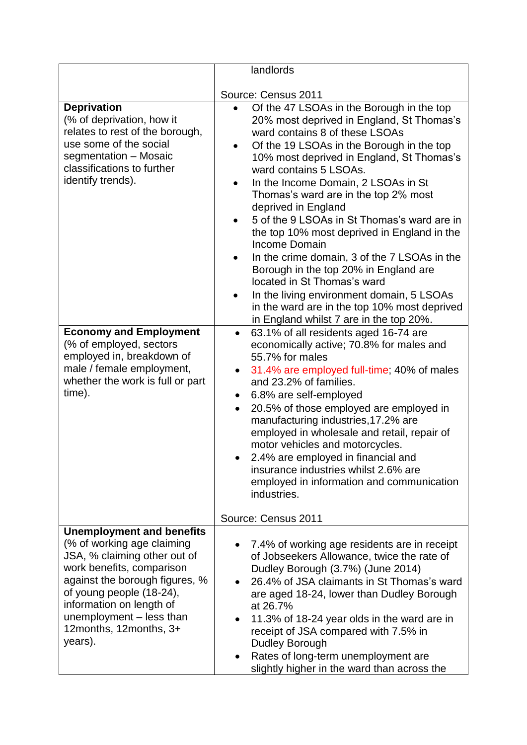|                                                                                                                                                                                                                                                                                                                                                              | landlords                                                                                                                                                                                                                                                                                                                                                                                                                                                                                                                                                                                                                                                                                                                                                                                                                                                                                                                                                                                                                                                                                                                                                                                                                                                                                        |
|--------------------------------------------------------------------------------------------------------------------------------------------------------------------------------------------------------------------------------------------------------------------------------------------------------------------------------------------------------------|--------------------------------------------------------------------------------------------------------------------------------------------------------------------------------------------------------------------------------------------------------------------------------------------------------------------------------------------------------------------------------------------------------------------------------------------------------------------------------------------------------------------------------------------------------------------------------------------------------------------------------------------------------------------------------------------------------------------------------------------------------------------------------------------------------------------------------------------------------------------------------------------------------------------------------------------------------------------------------------------------------------------------------------------------------------------------------------------------------------------------------------------------------------------------------------------------------------------------------------------------------------------------------------------------|
|                                                                                                                                                                                                                                                                                                                                                              | Source: Census 2011                                                                                                                                                                                                                                                                                                                                                                                                                                                                                                                                                                                                                                                                                                                                                                                                                                                                                                                                                                                                                                                                                                                                                                                                                                                                              |
| <b>Deprivation</b><br>(% of deprivation, how it<br>relates to rest of the borough,<br>use some of the social<br>segmentation - Mosaic<br>classifications to further<br>identify trends).<br><b>Economy and Employment</b><br>(% of employed, sectors<br>employed in, breakdown of<br>male / female employment,<br>whether the work is full or part<br>time). | Of the 47 LSOAs in the Borough in the top<br>20% most deprived in England, St Thomas's<br>ward contains 8 of these LSOAs<br>Of the 19 LSOAs in the Borough in the top<br>10% most deprived in England, St Thomas's<br>ward contains 5 LSOAs.<br>In the Income Domain, 2 LSOAs in St<br>Thomas's ward are in the top 2% most<br>deprived in England<br>5 of the 9 LSOAs in St Thomas's ward are in<br>the top 10% most deprived in England in the<br>Income Domain<br>In the crime domain, 3 of the 7 LSOAs in the<br>Borough in the top 20% in England are<br>located in St Thomas's ward<br>In the living environment domain, 5 LSOAs<br>in the ward are in the top 10% most deprived<br>in England whilst 7 are in the top 20%.<br>63.1% of all residents aged 16-74 are<br>$\bullet$<br>economically active; 70.8% for males and<br>55.7% for males<br>31.4% are employed full-time; 40% of males<br>$\bullet$<br>and 23.2% of families.<br>6.8% are self-employed<br>20.5% of those employed are employed in<br>$\bullet$<br>manufacturing industries, 17.2% are<br>employed in wholesale and retail, repair of<br>motor vehicles and motorcycles.<br>2.4% are employed in financial and<br>insurance industries whilst 2.6% are<br>employed in information and communication<br>industries. |
|                                                                                                                                                                                                                                                                                                                                                              | Source: Census 2011                                                                                                                                                                                                                                                                                                                                                                                                                                                                                                                                                                                                                                                                                                                                                                                                                                                                                                                                                                                                                                                                                                                                                                                                                                                                              |
| <b>Unemployment and benefits</b><br>(% of working age claiming<br>JSA, % claiming other out of<br>work benefits, comparison<br>against the borough figures, %<br>of young people (18-24),<br>information on length of<br>unemployment - less than<br>12months, 12months, 3+<br>years).                                                                       | 7.4% of working age residents are in receipt<br>٠<br>of Jobseekers Allowance, twice the rate of<br>Dudley Borough (3.7%) (June 2014)<br>26.4% of JSA claimants in St Thomas's ward<br>are aged 18-24, lower than Dudley Borough<br>at 26.7%<br>11.3% of 18-24 year olds in the ward are in<br>receipt of JSA compared with 7.5% in<br>Dudley Borough<br>Rates of long-term unemployment are<br>slightly higher in the ward than across the                                                                                                                                                                                                                                                                                                                                                                                                                                                                                                                                                                                                                                                                                                                                                                                                                                                       |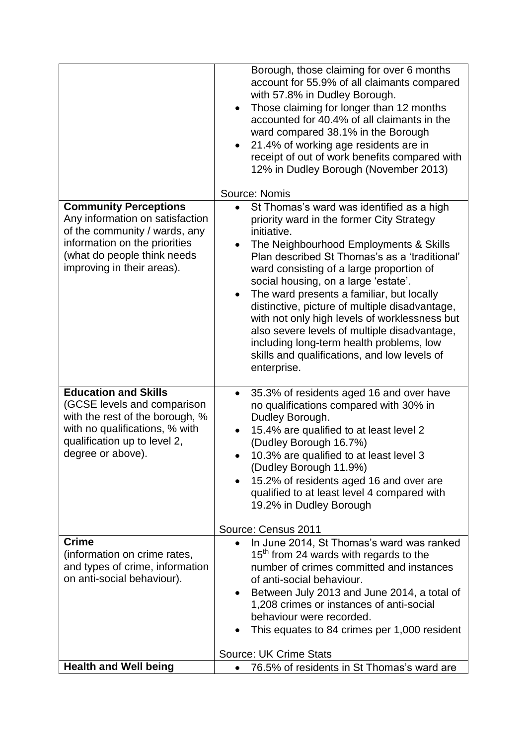|                                                                                                                                                                | Borough, those claiming for over 6 months<br>account for 55.9% of all claimants compared<br>with 57.8% in Dudley Borough.<br>Those claiming for longer than 12 months<br>$\bullet$<br>accounted for 40.4% of all claimants in the<br>ward compared 38.1% in the Borough<br>21.4% of working age residents are in<br>$\bullet$<br>receipt of out of work benefits compared with<br>12% in Dudley Borough (November 2013)<br>Source: Nomis                                                                                                                                     |
|----------------------------------------------------------------------------------------------------------------------------------------------------------------|------------------------------------------------------------------------------------------------------------------------------------------------------------------------------------------------------------------------------------------------------------------------------------------------------------------------------------------------------------------------------------------------------------------------------------------------------------------------------------------------------------------------------------------------------------------------------|
| <b>Community Perceptions</b>                                                                                                                                   | St Thomas's ward was identified as a high<br>$\bullet$                                                                                                                                                                                                                                                                                                                                                                                                                                                                                                                       |
| Any information on satisfaction<br>of the community / wards, any<br>information on the priorities<br>(what do people think needs<br>improving in their areas). | priority ward in the former City Strategy<br>initiative.<br>The Neighbourhood Employments & Skills<br>$\bullet$<br>Plan described St Thomas's as a 'traditional'<br>ward consisting of a large proportion of<br>social housing, on a large 'estate'.<br>The ward presents a familiar, but locally<br>$\bullet$<br>distinctive, picture of multiple disadvantage,<br>with not only high levels of worklessness but<br>also severe levels of multiple disadvantage,<br>including long-term health problems, low<br>skills and qualifications, and low levels of<br>enterprise. |
| <b>Education and Skills</b>                                                                                                                                    | 35.3% of residents aged 16 and over have<br>$\bullet$                                                                                                                                                                                                                                                                                                                                                                                                                                                                                                                        |
| (GCSE levels and comparison<br>with the rest of the borough, %<br>with no qualifications, % with                                                               | no qualifications compared with 30% in<br>Dudley Borough.<br>15.4% are qualified to at least level 2                                                                                                                                                                                                                                                                                                                                                                                                                                                                         |
| qualification up to level 2,                                                                                                                                   | (Dudley Borough 16.7%)                                                                                                                                                                                                                                                                                                                                                                                                                                                                                                                                                       |
| degree or above).                                                                                                                                              | 10.3% are qualified to at least level 3                                                                                                                                                                                                                                                                                                                                                                                                                                                                                                                                      |
|                                                                                                                                                                | (Dudley Borough 11.9%)<br>15.2% of residents aged 16 and over are                                                                                                                                                                                                                                                                                                                                                                                                                                                                                                            |
|                                                                                                                                                                | qualified to at least level 4 compared with<br>19.2% in Dudley Borough                                                                                                                                                                                                                                                                                                                                                                                                                                                                                                       |
|                                                                                                                                                                | Source: Census 2011                                                                                                                                                                                                                                                                                                                                                                                                                                                                                                                                                          |
| <b>Crime</b>                                                                                                                                                   | In June 2014, St Thomas's ward was ranked<br>$\bullet$                                                                                                                                                                                                                                                                                                                                                                                                                                                                                                                       |
| (information on crime rates,                                                                                                                                   | $15th$ from 24 wards with regards to the                                                                                                                                                                                                                                                                                                                                                                                                                                                                                                                                     |
| and types of crime, information<br>on anti-social behaviour).                                                                                                  | number of crimes committed and instances<br>of anti-social behaviour.                                                                                                                                                                                                                                                                                                                                                                                                                                                                                                        |
|                                                                                                                                                                | Between July 2013 and June 2014, a total of                                                                                                                                                                                                                                                                                                                                                                                                                                                                                                                                  |
|                                                                                                                                                                | 1,208 crimes or instances of anti-social                                                                                                                                                                                                                                                                                                                                                                                                                                                                                                                                     |
|                                                                                                                                                                | behaviour were recorded.                                                                                                                                                                                                                                                                                                                                                                                                                                                                                                                                                     |
|                                                                                                                                                                | This equates to 84 crimes per 1,000 resident                                                                                                                                                                                                                                                                                                                                                                                                                                                                                                                                 |
|                                                                                                                                                                | <b>Source: UK Crime Stats</b>                                                                                                                                                                                                                                                                                                                                                                                                                                                                                                                                                |
| <b>Health and Well being</b>                                                                                                                                   | 76.5% of residents in St Thomas's ward are                                                                                                                                                                                                                                                                                                                                                                                                                                                                                                                                   |